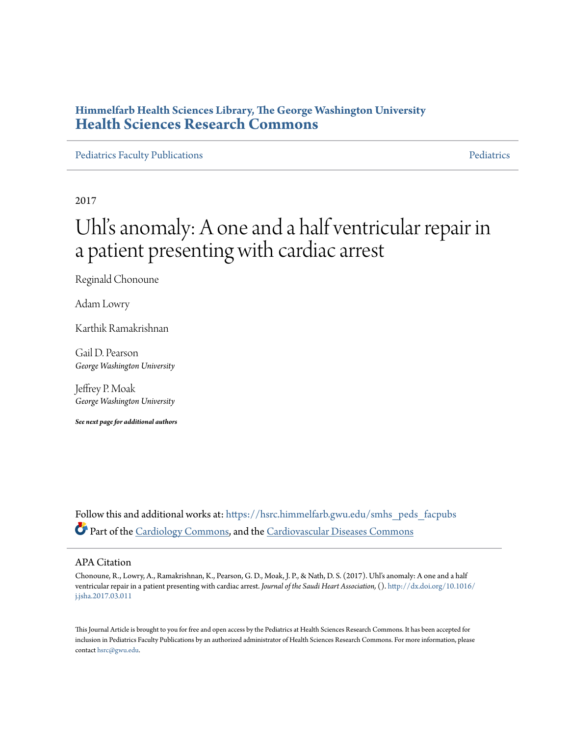### **Himmelfarb Health Sciences Library, The George Washington University [Health Sciences Research Commons](https://hsrc.himmelfarb.gwu.edu?utm_source=hsrc.himmelfarb.gwu.edu%2Fsmhs_peds_facpubs%2F1977&utm_medium=PDF&utm_campaign=PDFCoverPages)**

[Pediatrics Faculty Publications](https://hsrc.himmelfarb.gwu.edu/smhs_peds_facpubs?utm_source=hsrc.himmelfarb.gwu.edu%2Fsmhs_peds_facpubs%2F1977&utm_medium=PDF&utm_campaign=PDFCoverPages) **[Pediatrics](https://hsrc.himmelfarb.gwu.edu/smhs_peds?utm_source=hsrc.himmelfarb.gwu.edu%2Fsmhs_peds_facpubs%2F1977&utm_medium=PDF&utm_campaign=PDFCoverPages)** Pediatrics Pediatrics

2017

# Uhl' s anomaly: A one and a half ventricular repair in a patient presenting with cardiac arrest

Reginald Chonoune

Adam Lowry

Karthik Ramakrishnan

Gail D. Pearson *George Washington University*

Jeffrey P. Moak *George Washington University*

*See next page for additional authors*

Follow this and additional works at: [https://hsrc.himmelfarb.gwu.edu/smhs\\_peds\\_facpubs](https://hsrc.himmelfarb.gwu.edu/smhs_peds_facpubs?utm_source=hsrc.himmelfarb.gwu.edu%2Fsmhs_peds_facpubs%2F1977&utm_medium=PDF&utm_campaign=PDFCoverPages) Part of the [Cardiology Commons](http://network.bepress.com/hgg/discipline/683?utm_source=hsrc.himmelfarb.gwu.edu%2Fsmhs_peds_facpubs%2F1977&utm_medium=PDF&utm_campaign=PDFCoverPages), and the [Cardiovascular Diseases Commons](http://network.bepress.com/hgg/discipline/929?utm_source=hsrc.himmelfarb.gwu.edu%2Fsmhs_peds_facpubs%2F1977&utm_medium=PDF&utm_campaign=PDFCoverPages)

#### APA Citation

Chonoune, R., Lowry, A., Ramakrishnan, K., Pearson, G. D., Moak, J. P., & Nath, D. S. (2017). Uhl's anomaly: A one and a half ventricular repair in a patient presenting with cardiac arrest. *Journal of the Saudi Heart Association,* (). [http://dx.doi.org/10.1016/](http://dx.doi.org/10.1016/j.jsha.2017.03.011) [j.jsha.2017.03.011](http://dx.doi.org/10.1016/j.jsha.2017.03.011)

This Journal Article is brought to you for free and open access by the Pediatrics at Health Sciences Research Commons. It has been accepted for inclusion in Pediatrics Faculty Publications by an authorized administrator of Health Sciences Research Commons. For more information, please contact [hsrc@gwu.edu](mailto:hsrc@gwu.edu).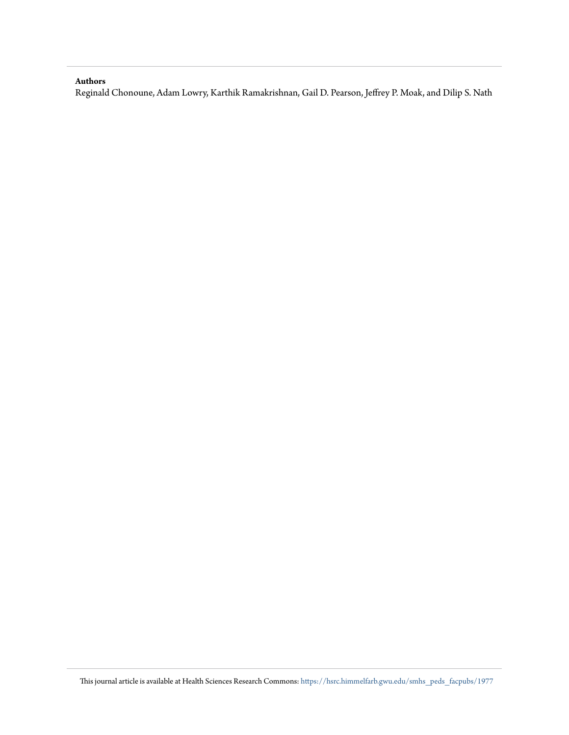#### **Authors**

Reginald Chonoune, Adam Lowry, Karthik Ramakrishnan, Gail D. Pearson, Jeffrey P. Moak, and Dilip S. Nath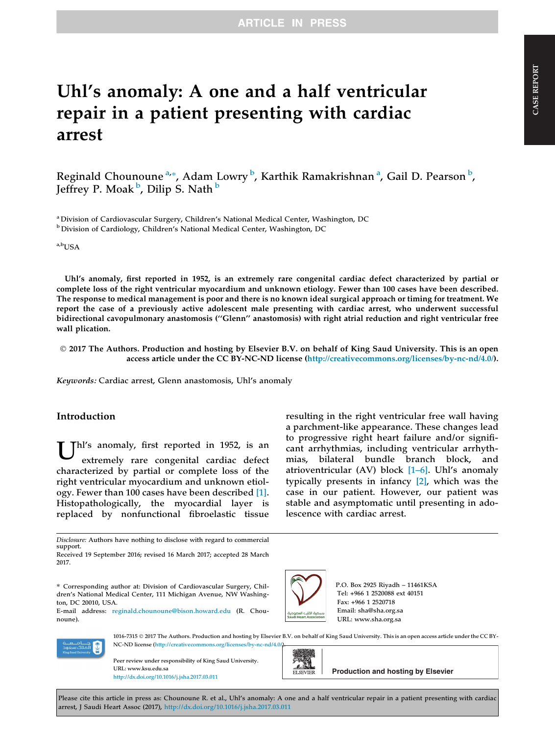## Uhl's anomaly: A one and a half ventricular repair in a patient presenting with cardiac arrest

Reginald Chounoune <sup>a,</sup>\*, Adam Lowry <sup>b</sup>, Karthik Ramakrishnan <sup>a</sup>, Gail D. Pearson <sup>b</sup>, Jeffrey P. Moak <sup>b</sup>, Dilip S. Nath <sup>b</sup>

<sup>a</sup> Division of Cardiovascular Surgery, Children's National Medical Center, Washington, DC <sup>b</sup> Division of Cardiology, Children's National Medical Center, Washington, DC

a,bUSA

Uhl's anomaly, first reported in 1952, is an extremely rare congenital cardiac defect characterized by partial or complete loss of the right ventricular myocardium and unknown etiology. Fewer than 100 cases have been described. The response to medical management is poor and there is no known ideal surgical approach or timing for treatment. We report the case of a previously active adolescent male presenting with cardiac arrest, who underwent successful bidirectional cavopulmonary anastomosis (''Glenn'' anastomosis) with right atrial reduction and right ventricular free wall plication.

 2017 The Authors. Production and hosting by Elsevier B.V. on behalf of King Saud University. This is an open access article under the CC BY-NC-ND license [\(http://creativecommons.org/licenses/by-nc-nd/4.0/\)](http://creativecommons.org/licenses/by-nc-nd/4.0/).

Keywords: Cardiac arrest, Glenn anastomosis, Uhl's anomaly

#### Introduction

Thl's anomaly, first reported in 1952, is an extremely rare congenital cardiac defect characterized by partial or complete loss of the right ventricular myocardium and unknown etiology. Fewer than 100 cases have been described [\[1\]](#page-4-0). Histopathologically, the myocardial layer is replaced by nonfunctional fibroelastic tissue

Disclosure: Authors have nothing to disclose with regard to commercial support.

resulting in the right ventricular free wall having a parchment-like appearance. These changes lead to progressive right heart failure and/or significant arrhythmias, including ventricular arrhythmias, bilateral bundle branch block, and atrioventricular (AV) block  $[1-6]$ . Uhl's anomaly typically presents in infancy [\[2\],](#page-4-0) which was the case in our patient. However, our patient was stable and asymptomatic until presenting in adolescence with cardiac arrest.



P.O. Box 2925 Riyadh – 11461KSA Tel: +966 1 2520088 ext 40151 Fax: +966 1 2520718 Email: sha@sha.org.sa URL: www.sha.org.sa



1016-7315 2017 The Authors. Production and hosting by Elsevier B.V. on behalf of King Saud University. This is an open access article under the CC BY-NC-ND license [\(http://creativecommons.org/licenses/by-nc-nd/4.0/](http://creativecommons.org/licenses/by-nc-nd/4.0/)).

TO.

Peer review under responsibility of King Saud University. URL: www.ksu.edu.sa URL: www.ksu.edu.sa<br><http://dx.doi.org/10.1016/j.jsha.2017.03.011> **Production and hosting by Elsevier** 



Please cite this article in press as: Chounoune R. et al., Uhl's anomaly: A one and a half ventricular repair in a patient presenting with cardiac arrest, J Saudi Heart Assoc (2017), <http://dx.doi.org/10.1016/j.jsha.2017.03.011>

Received 19 September 2016; revised 16 March 2017; accepted 28 March 2017.

<sup>⇑</sup> Corresponding author at: Division of Cardiovascular Surgery, Children's National Medical Center, 111 Michigan Avenue, NW Washington, DC 20010, USA.

E-mail address: [reginald.chounoune@bison.howard.edu](mailto:reginald.chounoune@bison.howard.edu) (R. Chounoune).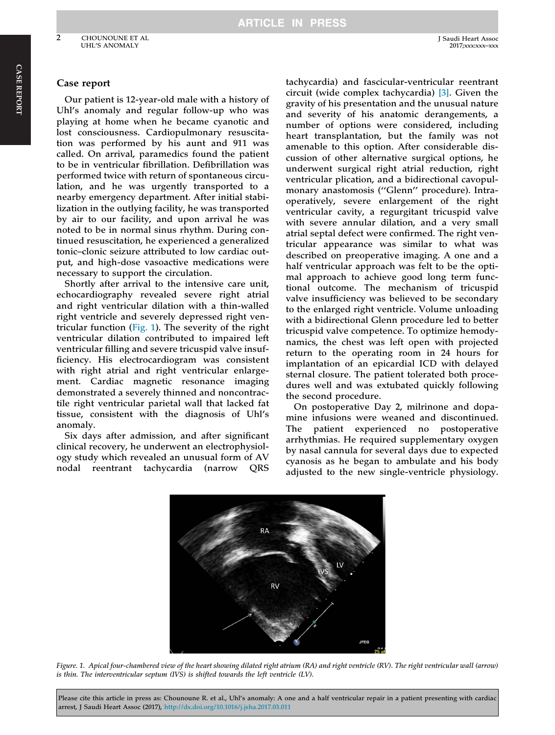#### Case report

Our patient is 12-year-old male with a history of Uhl's anomaly and regular follow-up who was playing at home when he became cyanotic and lost consciousness. Cardiopulmonary resuscitation was performed by his aunt and 911 was called. On arrival, paramedics found the patient to be in ventricular fibrillation. Defibrillation was performed twice with return of spontaneous circulation, and he was urgently transported to a nearby emergency department. After initial stabilization in the outlying facility, he was transported by air to our facility, and upon arrival he was noted to be in normal sinus rhythm. During continued resuscitation, he experienced a generalized tonic–clonic seizure attributed to low cardiac output, and high-dose vasoactive medications were necessary to support the circulation.

Shortly after arrival to the intensive care unit, echocardiography revealed severe right atrial and right ventricular dilation with a thin-walled right ventricle and severely depressed right ventricular function (Fig. 1). The severity of the right ventricular dilation contributed to impaired left ventricular filling and severe tricuspid valve insufficiency. His electrocardiogram was consistent with right atrial and right ventricular enlargement. Cardiac magnetic resonance imaging demonstrated a severely thinned and noncontractile right ventricular parietal wall that lacked fat tissue, consistent with the diagnosis of Uhl's anomaly.

Six days after admission, and after significant clinical recovery, he underwent an electrophysiology study which revealed an unusual form of AV nodal reentrant tachycardia (narrow QRS

tachycardia) and fascicular-ventricular reentrant circuit (wide complex tachycardia) [\[3\].](#page-4-0) Given the gravity of his presentation and the unusual nature and severity of his anatomic derangements, a number of options were considered, including heart transplantation, but the family was not amenable to this option. After considerable discussion of other alternative surgical options, he underwent surgical right atrial reduction, right ventricular plication, and a bidirectional cavopulmonary anastomosis (''Glenn'' procedure). Intraoperatively, severe enlargement of the right ventricular cavity, a regurgitant tricuspid valve with severe annular dilation, and a very small atrial septal defect were confirmed. The right ventricular appearance was similar to what was described on preoperative imaging. A one and a half ventricular approach was felt to be the optimal approach to achieve good long term functional outcome. The mechanism of tricuspid valve insufficiency was believed to be secondary to the enlarged right ventricle. Volume unloading with a bidirectional Glenn procedure led to better tricuspid valve competence. To optimize hemodynamics, the chest was left open with projected return to the operating room in 24 hours for implantation of an epicardial ICD with delayed sternal closure. The patient tolerated both procedures well and was extubated quickly following the second procedure.

On postoperative Day 2, milrinone and dopamine infusions were weaned and discontinued. The patient experienced no postoperative arrhythmias. He required supplementary oxygen by nasal cannula for several days due to expected cyanosis as he began to ambulate and his body adjusted to the new single-ventricle physiology.



Figure. 1. Apical four-chambered view of the heart showing dilated right atrium (RA) and right ventricle (RV). The right ventricular wall (arrow) is thin. The interventricular septum (IVS) is shifted towards the left ventricle (LV).

Please cite this article in press as: Chounoune R. et al., Uhl's anomaly: A one and a half ventricular repair in a patient presenting with cardiac arrest, J Saudi Heart Assoc (2017), <http://dx.doi.org/10.1016/j.jsha.2017.03.011>